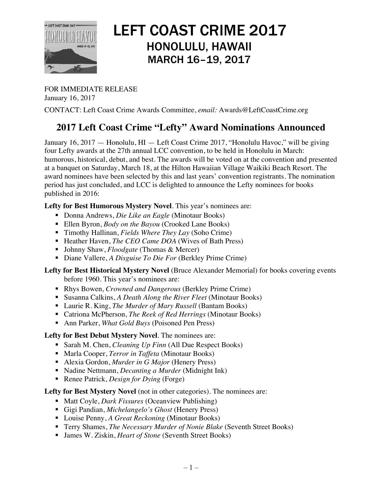

# LEFT COAST CRIME 2017 HONOLULU, HAWAII MARCH 16–19, 2017

FOR IMMEDIATE RELEASE January 16, 2017

CONTACT: Left Coast Crime Awards Committee, *email:* Awards@LeftCoastCrime.org

# **2017 Left Coast Crime "Lefty" Award Nominations Announced**

January 16, 2017 — Honolulu, HI — Left Coast Crime 2017, "Honolulu Havoc," will be giving four Lefty awards at the 27th annual LCC convention, to be held in Honolulu in March: humorous, historical, debut, and best. The awards will be voted on at the convention and presented at a banquet on Saturday, March 18, at the Hilton Hawaiian Village Waikiki Beach Resort. The award nominees have been selected by this and last years' convention registrants. The nomination period has just concluded, and LCC is delighted to announce the Lefty nominees for books published in 2016:

## **Lefty for Best Humorous Mystery Novel**. This year's nominees are:

- § Donna Andrews, *Die Like an Eagle* (Minotaur Books)
- Ellen Byron, *Body on the Bayou* (Crooked Lane Books)
- Timothy Hallinan, *Fields Where They Lay* (Soho Crime)
- Heather Haven, *The CEO Came DOA* (Wives of Bath Press)
- § Johnny Shaw, *Floodgate* (Thomas & Mercer)
- Diane Vallere, *A Disguise To Die For* (Berkley Prime Crime)

#### **Lefty for Best Historical Mystery Novel** (Bruce Alexander Memorial) for books covering events before 1960. This year's nominees are:

- Rhys Bowen, *Crowned and Dangerous* (Berkley Prime Crime)
- Susanna Calkins, *A Death Along the River Fleet* (Minotaur Books)
- Laurie R. King, *The Murder of Mary Russell* (Bantam Books)
- Catriona McPherson, *The Reek of Red Herrings* (Minotaur Books)
- Ann Parker, *What Gold Buys* (Poisoned Pen Press)

#### **Lefty for Best Debut Mystery Novel**. The nominees are:

- Sarah M. Chen, *Cleaning Up Finn* (All Due Respect Books)
- Marla Cooper, *Terror in Taffeta* (Minotaur Books)
- Alexia Gordon, *Murder in G Major* (Henery Press)
- § Nadine Nettmann, *Decanting a Murder* (Midnight Ink)
- Renee Patrick, *Design for Dying* (Forge)

## **Lefty for Best Mystery Novel** (not in other categories). The nominees are:

- Matt Coyle, *Dark Fissures* (Oceanview Publishing)
- § Gigi Pandian, *Michelangelo's Ghost* (Henery Press)
- Louise Penny, *A Great Reckoning* (Minotaur Books)
- Terry Shames, *The Necessary Murder of Nonie Blake* (Seventh Street Books)
- James W. Ziskin, *Heart of Stone* (Seventh Street Books)